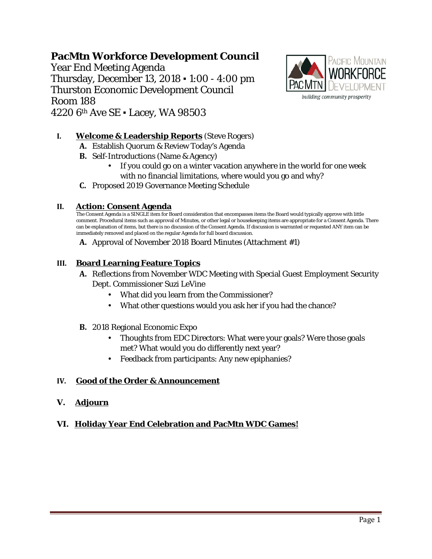**PacMtn Workforce Development Council** Year End Meeting Agenda Thursday, December 13, 2018 ▪ 1:00 - 4:00 pm Thurston Economic Development Council Room 188 4220 6th Ave SE ▪ Lacey, WA 98503



## **I. Welcome & Leadership Reports** (Steve Rogers)

- **A.** Establish Quorum & Review Today's Agenda
- **B.** Self-Introductions (Name & Agency)
	- If you could go on a winter vacation anywhere in the world for one week with no financial limitations, where would you go and why?
- **C.** Proposed 2019 Governance Meeting Schedule

#### **II. Action: Consent Agenda**

The Consent Agenda is a SINGLE item for Board consideration that encompasses items the Board would typically approve with little comment. Procedural items such as approval of Minutes, or other legal or housekeeping items are appropriate for a Consent Agenda. There can be explanation of items, but there is no discussion of the Consent Agenda. If discussion is warranted or requested ANY item can be immediately removed and placed on the regular Agenda for full board discussion.

**A.** Approval of November 2018 Board Minutes (Attachment #1)

#### **III. Board Learning Feature Topics**

- **A.** Reflections from November WDC Meeting with Special Guest Employment Security Dept. Commissioner Suzi LeVine
	- What did you learn from the Commissioner?
	- What other questions would you ask her if you had the chance?
- **B.** 2018 Regional Economic Expo
	- Thoughts from EDC Directors: What were your goals? Were those goals met? What would you do differently next year?
	- Feedback from participants: Any new epiphanies?

### **IV. Good of the Order & Announcement**

**V. Adjourn**

### **VI. Holiday Year End Celebration and PacMtn WDC Games!**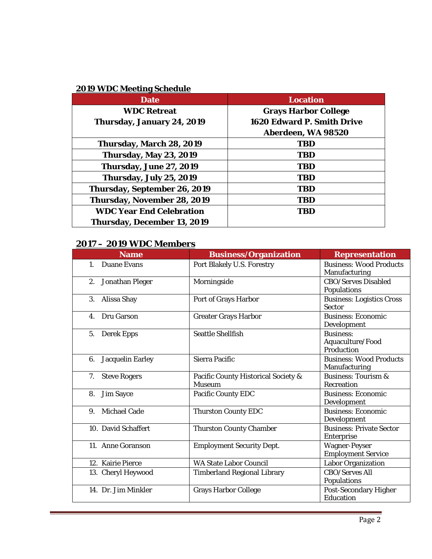## **2019 WDC Meeting Schedule**

| <b>Date</b>                     | <b>Location</b>                   |  |
|---------------------------------|-----------------------------------|--|
| <b>WDC Retreat</b>              | <b>Grays Harbor College</b>       |  |
| Thursday, January 24, 2019      | <b>1620 Edward P. Smith Drive</b> |  |
|                                 | Aberdeen, WA 98520                |  |
| Thursday, March 28, 2019        | <b>TBD</b>                        |  |
| <b>Thursday, May 23, 2019</b>   | <b>TBD</b>                        |  |
| Thursday, June 27, 2019         | <b>TBD</b>                        |  |
| Thursday, July 25, 2019         | <b>TBD</b>                        |  |
| Thursday, September 26, 2019    | <b>TBD</b>                        |  |
| Thursday, November 28, 2019     | <b>TBD</b>                        |  |
| <b>WDC Year End Celebration</b> | <b>TBD</b>                        |  |
| Thursday, December 13, 2019     |                                   |  |

# **2017 – 2019 WDC Members**

| <b>Name</b>                   | <b>Business/Organization</b>                         | <b>Representation</b>                              |
|-------------------------------|------------------------------------------------------|----------------------------------------------------|
| <b>Duane Evans</b><br>$1_{-}$ | Port Blakely U.S. Forestry                           | <b>Business: Wood Products</b><br>Manufacturing    |
| 2.<br>Jonathan Pleger         | Morningside                                          | <b>CBO/Serves Disabled</b><br>Populations          |
| 3.<br>Alissa Shay             | Port of Grays Harbor                                 | <b>Business: Logistics Cross</b><br><b>Sector</b>  |
| Dru Garson<br>4.              | <b>Greater Grays Harbor</b>                          | <b>Business: Economic</b><br>Development           |
| 5.<br><b>Derek Epps</b>       | <b>Seattle Shellfish</b>                             | <b>Business:</b><br>Aquaculture/Food<br>Production |
| <b>Jacquelin Earley</b><br>6. | <b>Sierra Pacific</b>                                | <b>Business: Wood Products</b><br>Manufacturing    |
| 7.<br><b>Steve Rogers</b>     | Pacific County Historical Society &<br><b>Museum</b> | <b>Business: Tourism &amp;</b><br>Recreation       |
| 8.<br><b>Jim Sayce</b>        | Pacific County EDC                                   | <b>Business: Economic</b><br>Development           |
| <b>Michael Cade</b><br>9.     | <b>Thurston County EDC</b>                           | <b>Business: Economic</b><br>Development           |
| 10. David Schaffert           | <b>Thurston County Chamber</b>                       | <b>Business: Private Sector</b><br>Enterprise      |
| 11. Anne Goranson             | <b>Employment Security Dept.</b>                     | <b>Wagner-Peyser</b><br><b>Employment Service</b>  |
| 12. Kairie Pierce             | <b>WA State Labor Council</b>                        | <b>Labor Organization</b>                          |
| 13. Cheryl Heywood            | <b>Timberland Regional Library</b>                   | <b>CBO/Serves All</b><br>Populations               |
| 14. Dr. Jim Minkler           | <b>Grays Harbor College</b>                          | Post-Secondary Higher<br>Education                 |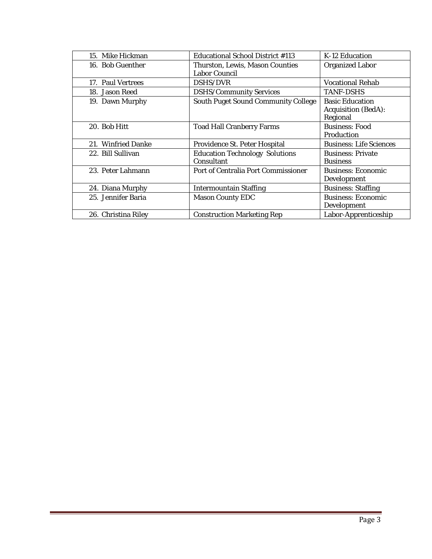| 15. Mike Hickman    | <b>Educational School District #113</b>                 | K-12 Education                                                   |
|---------------------|---------------------------------------------------------|------------------------------------------------------------------|
| 16. Bob Guenther    | Thurston, Lewis, Mason Counties<br><b>Labor Council</b> | <b>Organized Labor</b>                                           |
| 17. Paul Vertrees   | <b>DSHS/DVR</b>                                         | <b>Vocational Rehab</b>                                          |
| 18. Jason Reed      | <b>DSHS/Community Services</b>                          | <b>TANF-DSHS</b>                                                 |
| 19. Dawn Murphy     | <b>South Puget Sound Community College</b>              | <b>Basic Education</b><br><b>Acquisition (BedA):</b><br>Regional |
| 20. Bob Hitt        | <b>Toad Hall Cranberry Farms</b>                        | <b>Business: Food</b><br>Production                              |
| 21. Winfried Danke  | Providence St. Peter Hospital                           | <b>Business: Life Sciences</b>                                   |
| 22. Bill Sullivan   | <b>Education Technology Solutions</b><br>Consultant     | <b>Business: Private</b><br><b>Business</b>                      |
| 23. Peter Lahmann   | Port of Centralia Port Commissioner                     | <b>Business: Economic</b><br>Development                         |
| 24. Diana Murphy    | <b>Intermountain Staffing</b>                           | <b>Business: Staffing</b>                                        |
| 25. Jennifer Baria  | <b>Mason County EDC</b>                                 | <b>Business: Economic</b><br>Development                         |
| 26. Christina Riley | <b>Construction Marketing Rep</b>                       | Labor-Apprenticeship                                             |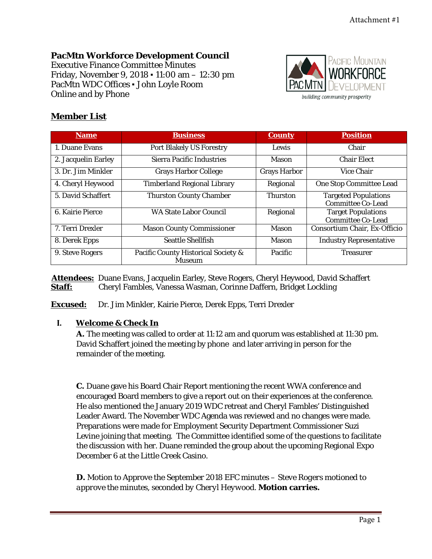# **PacMtn Workforce Development Council**

Executive Finance Committee Minutes Friday, November 9, 2018 ▪ 11:00 am – 12:30 pm PacMtn WDC Offices ▪ John Loyle Room Online and by Phone



## **Member List**

| <b>Name</b>         | <b>Business</b>                                      | <b>County</b>       | <b>Position</b>                                         |
|---------------------|------------------------------------------------------|---------------------|---------------------------------------------------------|
| 1. Duane Evans      | <b>Port Blakely US Forestry</b>                      | Lewis               | Chair                                                   |
| 2. Jacquelin Earley | <b>Sierra Pacific Industries</b>                     | Mason               | <b>Chair Elect</b>                                      |
| 3. Dr. Jim Minkler  | <b>Grays Harbor College</b>                          | <b>Grays Harbor</b> | <b>Vice Chair</b>                                       |
| 4. Cheryl Heywood   | <b>Timberland Regional Library</b>                   | Regional            | <b>One Stop Committee Lead</b>                          |
| 5. David Schaffert  | <b>Thurston County Chamber</b>                       | <b>Thurston</b>     | <b>Targeted Populations</b><br><b>Committee Co-Lead</b> |
| 6. Kairie Pierce    | <b>WA State Labor Council</b>                        | Regional            | <b>Target Populations</b><br><b>Committee Co-Lead</b>   |
| 7. Terri Drexler    | <b>Mason County Commissioner</b>                     | Mason               | Consortium Chair, Ex-Officio                            |
| 8. Derek Epps       | <b>Seattle Shellfish</b>                             | Mason               | <b>Industry Representative</b>                          |
| 9. Steve Rogers     | Pacific County Historical Society &<br><b>Museum</b> | Pacific             | <b>Treasurer</b>                                        |

 **Attendees:** Duane Evans, Jacquelin Earley, Steve Rogers, Cheryl Heywood, David Schaffert **Staff:** Cheryl Fambles, Vanessa Wasman, Corinne Daffern, Bridget Lockling

**Excused:** Dr. Jim Minkler, Kairie Pierce, Derek Epps, Terri Drexler

### **I. Welcome & Check In**

**A.** The meeting was called to order at 11:12 am and quorum was established at 11:30 pm. David Schaffert joined the meeting by phone and later arriving in person for the remainder of the meeting.

**C.** Duane gave his Board Chair Report mentioning the recent WWA conference and encouraged Board members to give a report out on their experiences at the conference. He also mentioned the January 2019 WDC retreat and Cheryl Fambles' Distinguished Leader Award. The November WDC Agenda was reviewed and no changes were made. Preparations were made for Employment Security Department Commissioner Suzi Levine joining that meeting. The Committee identified some of the questions to facilitate the discussion with her. Duane reminded the group about the upcoming Regional Expo December 6 at the Little Creek Casino.

**D.** Motion to Approve the September 2018 EFC minutes – *Steve Rogers motioned to approve the minutes, seconded by Cheryl Heywood.* **Motion carries.**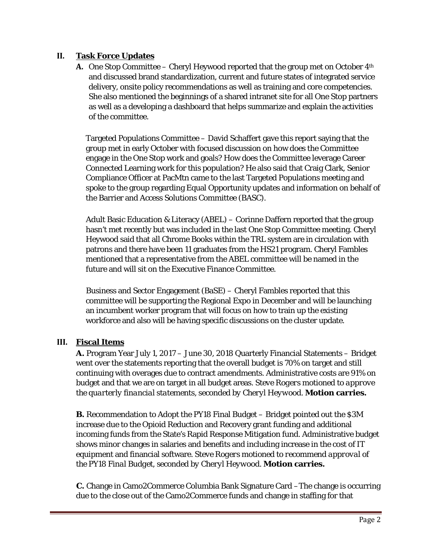## **II. Task Force Updates**

**A.** One Stop Committee – Cheryl Heywood reported that the group met on October 4<sup>th</sup> and discussed brand standardization, current and future states of integrated service delivery, onsite policy recommendations as well as training and core competencies. She also mentioned the beginnings of a shared intranet site for all One Stop partners as well as a developing a dashboard that helps summarize and explain the activities of the committee.

Targeted Populations Committee – David Schaffert gave this report saying that the group met in early October with focused discussion on how does the Committee engage in the One Stop work and goals? How does the Committee leverage Career Connected Learning work for this population? He also said that Craig Clark, Senior Compliance Officer at PacMtn came to the last Targeted Populations meeting and spoke to the group regarding Equal Opportunity updates and information on behalf of the Barrier and Access Solutions Committee (BASC).

Adult Basic Education & Literacy (ABEL) – Corinne Daffern reported that the group hasn't met recently but was included in the last One Stop Committee meeting. Cheryl Heywood said that all Chrome Books within the TRL system are in circulation with patrons and there have been 11 graduates from the HS21 program. Cheryl Fambles mentioned that a representative from the ABEL committee will be named in the future and will sit on the Executive Finance Committee.

Business and Sector Engagement (BaSE) – Cheryl Fambles reported that this committee will be supporting the Regional Expo in December and will be launching an incumbent worker program that will focus on how to train up the existing workforce and also will be having specific discussions on the cluster update.

## **III. Fiscal Items**

**A.** Program Year July 1, 2017 – June 30, 2018 Quarterly Financial Statements – Bridget went over the statements reporting that the overall budget is 70% on target and still continuing with overages due to contract amendments. Administrative costs are 91% on budget and that we are on target in all budget areas. *Steve Rogers motioned to approve the quarterly financial statements, seconded by Cheryl Heywood.* **Motion carries.**

**B.** Recommendation to Adopt the PY18 Final Budget – Bridget pointed out the \$3M increase due to the Opioid Reduction and Recovery grant funding and additional incoming funds from the State's Rapid Response Mitigation fund. Administrative budget shows minor changes in salaries and benefits and including increase in the cost of IT equipment and financial software. *Steve Rogers motioned to recommend approval of the PY18 Final Budget, seconded by Cheryl Heywood.* **Motion carries.**

**C.** Change in Camo2Commerce Columbia Bank Signature Card –The change is occurring due to the close out of the Camo2Commerce funds and change in staffing for that